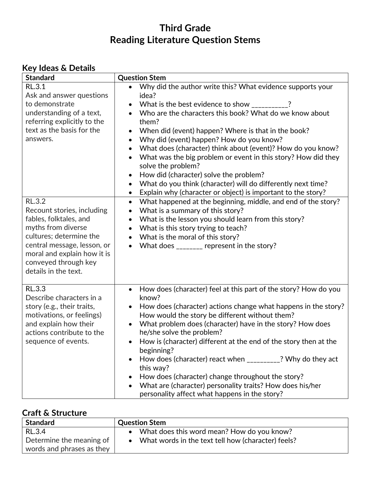# **Third Grade Reading Literature Question Stems**

### **Key Ideas & Details**

| <b>Standard</b>                                                                                                                                                                                                                      | <b>Question Stem</b>                                                                                                                                                                                                                                                                                                                                                                                                                                                                                                                                                                                                                                                                                                                            |
|--------------------------------------------------------------------------------------------------------------------------------------------------------------------------------------------------------------------------------------|-------------------------------------------------------------------------------------------------------------------------------------------------------------------------------------------------------------------------------------------------------------------------------------------------------------------------------------------------------------------------------------------------------------------------------------------------------------------------------------------------------------------------------------------------------------------------------------------------------------------------------------------------------------------------------------------------------------------------------------------------|
| <b>RL.3.1</b><br>Ask and answer questions<br>to demonstrate<br>understanding of a text,<br>referring explicitly to the<br>text as the basis for the<br>answers.                                                                      | Why did the author write this? What evidence supports your<br>$\bullet$<br>idea?<br>What is the best evidence to show _________?<br>$\bullet$<br>Who are the characters this book? What do we know about<br>$\bullet$<br>them?<br>When did (event) happen? Where is that in the book?<br>$\bullet$<br>Why did (event) happen? How do you know?<br>$\bullet$<br>What does (character) think about (event)? How do you know?<br>$\bullet$<br>What was the big problem or event in this story? How did they<br>solve the problem?<br>How did (character) solve the problem?<br>$\bullet$<br>What do you think (character) will do differently next time?<br>$\bullet$<br>Explain why (character or object) is important to the story?<br>$\bullet$ |
| <b>RL.3.2</b><br>Recount stories, including<br>fables, folktales, and<br>myths from diverse<br>cultures; determine the<br>central message, lesson, or<br>moral and explain how it is<br>conveyed through key<br>details in the text. | What happened at the beginning, middle, and end of the story?<br>$\bullet$<br>What is a summary of this story?<br>$\bullet$<br>What is the lesson you should learn from this story?<br>$\bullet$<br>What is this story trying to teach?<br>$\bullet$<br>What is the moral of this story?<br>$\bullet$<br>What does _______ represent in the story?<br>$\bullet$                                                                                                                                                                                                                                                                                                                                                                                 |
| RL.3.3<br>Describe characters in a<br>story (e.g., their traits,<br>motivations, or feelings)<br>and explain how their<br>actions contribute to the<br>sequence of events.                                                           | How does (character) feel at this part of the story? How do you<br>$\bullet$<br>know?<br>How does (character) actions change what happens in the story?<br>$\bullet$<br>How would the story be different without them?<br>What problem does (character) have in the story? How does<br>$\bullet$<br>he/she solve the problem?<br>How is (character) different at the end of the story then at the<br>beginning?<br>How does (character) react when __________? Why do they act<br>this way?<br>How does (character) change throughout the story?<br>What are (character) personality traits? How does his/her<br>personality affect what happens in the story?                                                                                  |

#### **Craft & Structure**

| <b>Standard</b>           | <b>Question Stem</b>                               |
|---------------------------|----------------------------------------------------|
| <b>RL.3.4</b>             | What does this word mean? How do you know?         |
| Determine the meaning of  | What words in the text tell how (character) feels? |
| words and phrases as they |                                                    |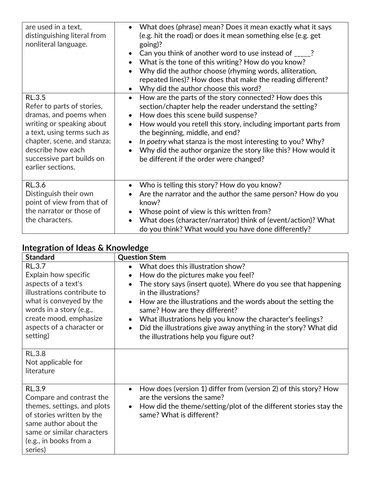| are used in a text,<br>distinguishing literal from<br>nonliteral language.                                                                                                                                                              | What does (phrase) mean? Does it mean exactly what it says<br>(e.g. hit the road) or does it mean something else (e.g. get<br>going)?<br>Can you think of another word to use instead of _____?<br>What is the tone of this writing? How do you know?<br>$\bullet$<br>Why did the author choose (rhyming words, alliteration,<br>repeated lines)? How does that make the reading different?<br>Why did the author choose this word?                                              |
|-----------------------------------------------------------------------------------------------------------------------------------------------------------------------------------------------------------------------------------------|----------------------------------------------------------------------------------------------------------------------------------------------------------------------------------------------------------------------------------------------------------------------------------------------------------------------------------------------------------------------------------------------------------------------------------------------------------------------------------|
| <b>RL.3.5</b><br>Refer to parts of stories,<br>dramas, and poems when<br>writing or speaking about<br>a text, using terms such as<br>chapter, scene, and stanza;<br>describe how each<br>successive part builds on<br>earlier sections. | How are the parts of the story connected? How does this<br>$\bullet$<br>section/chapter help the reader understand the setting?<br>How does this scene build suspense?<br>How would you retell this story, including important parts from<br>$\bullet$<br>the beginning, middle, and end?<br>In poetry what stanza is the most interesting to you? Why?<br>Why did the author organize the story like this? How would it<br>$\bullet$<br>be different if the order were changed? |
| RL.3.6<br>Distinguish their own<br>point of view from that of<br>the narrator or those of<br>the characters.                                                                                                                            | Who is telling this story? How do you know?<br>$\bullet$<br>Are the narrator and the author the same person? How do you<br>know?<br>Whose point of view is this written from?<br>What does (character/narrator) think of (event/action)? What<br>$\bullet$<br>do you think? What would you have done differently?                                                                                                                                                                |

### **Integration of Ideas & Knowledge**

| <b>Standard</b>                                                                                                                                                                                               | <b>Question Stem</b>                                                                                                                                                                                                                                                                                                                                                                                                                                                                                                          |
|---------------------------------------------------------------------------------------------------------------------------------------------------------------------------------------------------------------|-------------------------------------------------------------------------------------------------------------------------------------------------------------------------------------------------------------------------------------------------------------------------------------------------------------------------------------------------------------------------------------------------------------------------------------------------------------------------------------------------------------------------------|
| RL.3.7<br>Explain how specific<br>aspects of a text's<br>illustrations contribute to<br>what is conveyed by the<br>words in a story (e.g.,<br>create mood, emphasize<br>aspects of a character or<br>setting) | What does this illustration show?<br>$\bullet$<br>How do the pictures make you feel?<br>$\bullet$<br>The story says (insert quote). Where do you see that happening<br>$\bullet$<br>in the illustrations?<br>How are the illustrations and the words about the setting the<br>$\bullet$<br>same? How are they different?<br>What illustrations help you know the character's feelings?<br>$\bullet$<br>Did the illustrations give away anything in the story? What did<br>$\bullet$<br>the illustrations help you figure out? |
| <b>RL.3.8</b><br>Not applicable for<br>literature                                                                                                                                                             |                                                                                                                                                                                                                                                                                                                                                                                                                                                                                                                               |
| RL.3.9<br>Compare and contrast the<br>themes, settings, and plots<br>of stories written by the<br>same author about the<br>same or similar characters<br>(e.g., in books from a<br>series)                    | How does (version 1) differ from (version 2) of this story? How<br>$\bullet$<br>are the versions the same?<br>How did the theme/setting/plot of the different stories stay the<br>$\bullet$<br>same? What is different?                                                                                                                                                                                                                                                                                                       |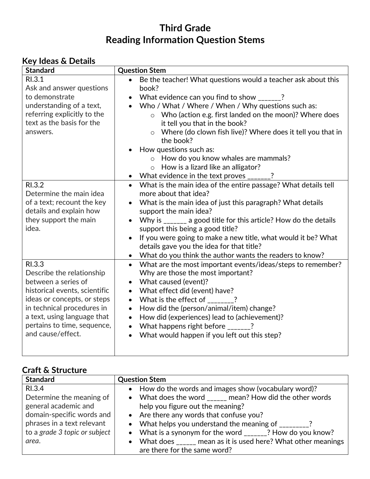# **Third Grade Reading Information Question Stems**

| <b>Key Ideas &amp; Details</b> |
|--------------------------------|
|--------------------------------|

| <b>Standard</b>                                                 | <b>Question Stem</b>                                                                                                                                                 |
|-----------------------------------------------------------------|----------------------------------------------------------------------------------------------------------------------------------------------------------------------|
| RI.3.1<br>Ask and answer questions                              | Be the teacher! What questions would a teacher ask about this<br>$\bullet$<br>book?                                                                                  |
| to demonstrate                                                  | What evidence can you find to show $\frac{1}{1-\frac{1}{2}}$ ?<br>$\bullet$                                                                                          |
| understanding of a text,                                        | Who / What / Where / When / Why questions such as:<br>$\bullet$                                                                                                      |
| referring explicitly to the<br>text as the basis for the        | o Who (action e.g. first landed on the moon)? Where does<br>it tell you that in the book?                                                                            |
| answers.                                                        | Where (do clown fish live)? Where does it tell you that in<br>$\circ$<br>the book?                                                                                   |
|                                                                 | How questions such as:                                                                                                                                               |
|                                                                 | o How do you know whales are mammals?                                                                                                                                |
|                                                                 | o How is a lizard like an alligator?                                                                                                                                 |
|                                                                 | $\bullet$                                                                                                                                                            |
| RI.3.2<br>Determine the main idea<br>of a text; recount the key | • What is the main idea of the entire passage? What details tell<br>more about that idea?<br>What is the main idea of just this paragraph? What details<br>$\bullet$ |
| details and explain how                                         | support the main idea?                                                                                                                                               |
| they support the main<br>idea.                                  | Why is _______ a good title for this article? How do the details<br>$\bullet$<br>support this being a good title?                                                    |
|                                                                 | If you were going to make a new title, what would it be? What<br>$\bullet$<br>details gave you the idea for that title?                                              |
|                                                                 | What do you think the author wants the readers to know?<br>$\bullet$                                                                                                 |
| RI.3.3<br>Describe the relationship                             | What are the most important events/ideas/steps to remember?<br>$\bullet$<br>Why are those the most important?                                                        |
| between a series of                                             | What caused (event)?<br>$\bullet$                                                                                                                                    |
| historical events, scientific                                   | What effect did (event) have?<br>$\bullet$                                                                                                                           |
| ideas or concepts, or steps                                     | What is the effect of $\frac{1}{2}$ , $\frac{1}{2}$<br>$\bullet$                                                                                                     |
| in technical procedures in                                      | How did the (person/animal/item) change?<br>$\bullet$                                                                                                                |
| a text, using language that                                     | How did (experiences) lead to (achievement)?<br>$\bullet$                                                                                                            |
| pertains to time, sequence,                                     | What happens right before $\frac{2}{2}$<br>$\bullet$                                                                                                                 |
| and cause/effect.                                               | What would happen if you left out this step?<br>$\bullet$                                                                                                            |
|                                                                 |                                                                                                                                                                      |

#### **Craft & Structure**

| <b>Standard</b>               | <b>Question Stem</b>                                                              |
|-------------------------------|-----------------------------------------------------------------------------------|
| RI.3.4                        | • How do the words and images show (vocabulary word)?                             |
| Determine the meaning of      | • What does the word _____ mean? How did the other words                          |
| general academic and          | help you figure out the meaning?                                                  |
| domain-specific words and     | • Are there any words that confuse you?                                           |
| phrases in a text relevant    | • What helps you understand the meaning of ________?                              |
| to a grade 3 topic or subject | • What is a synonym for the word $_{\text{2}}$ = $\frac{1}{2}$ ? How do you know? |
| area.                         | • What does _____ mean as it is used here? What other meanings                    |
|                               | are there for the same word?                                                      |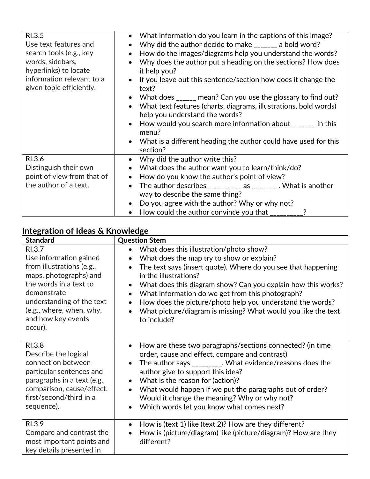| RI.3.5<br>Use text features and<br>search tools (e.g., key<br>words, sidebars,<br>hyperlinks) to locate<br>information relevant to a<br>given topic efficiently. | What information do you learn in the captions of this image?<br>$\bullet$<br>Why did the author decide to make _______ a bold word?<br>How do the images/diagrams help you understand the words?<br>Why does the author put a heading on the sections? How does<br>it help you?<br>If you leave out this sentence/section how does it change the<br>text?                                                                    |
|------------------------------------------------------------------------------------------------------------------------------------------------------------------|------------------------------------------------------------------------------------------------------------------------------------------------------------------------------------------------------------------------------------------------------------------------------------------------------------------------------------------------------------------------------------------------------------------------------|
|                                                                                                                                                                  | What does _____ mean? Can you use the glossary to find out?<br>What text features (charts, diagrams, illustrations, bold words)<br>help you understand the words?<br>How would you search more information about $\frac{1}{1}$ = $\frac{1}{1}$ in this<br>menu?<br>• What is a different heading the author could have used for this<br>section?                                                                             |
| RI.3.6<br>Distinguish their own<br>point of view from that of<br>the author of a text.                                                                           | Why did the author write this?<br>$\bullet$<br>What does the author want you to learn/think/do?<br>How do you know the author's point of view?<br>$\bullet$<br>The author describes $\frac{1}{2}$ as $\frac{1}{2}$ as $\frac{1}{2}$ What is another<br>$\bullet$<br>way to describe the same thing?<br>Do you agree with the author? Why or why not?<br>How could the author convince you that $\frac{1}{2}$ = $\frac{1}{2}$ |

### **Integration of Ideas & Knowledge**

| <b>Standard</b>                                                                                                                                                                                                            | <b>Question Stem</b>                                                                                                                                                                                                                                                                                                                                                                                                                                                                                |
|----------------------------------------------------------------------------------------------------------------------------------------------------------------------------------------------------------------------------|-----------------------------------------------------------------------------------------------------------------------------------------------------------------------------------------------------------------------------------------------------------------------------------------------------------------------------------------------------------------------------------------------------------------------------------------------------------------------------------------------------|
| RI.3.7<br>Use information gained<br>from illustrations (e.g.,<br>maps, photographs) and<br>the words in a text to<br>demonstrate<br>understanding of the text<br>(e.g., where, when, why,<br>and how key events<br>occur). | What does this illustration/photo show?<br>What does the map try to show or explain?<br>The text says (insert quote). Where do you see that happening<br>$\bullet$<br>in the illustrations?<br>What does this diagram show? Can you explain how this works?<br>$\bullet$<br>What information do we get from this photograph?<br>$\bullet$<br>How does the picture/photo help you understand the words?<br>$\bullet$<br>What picture/diagram is missing? What would you like the text<br>to include? |
| RI.3.8<br>Describe the logical<br>connection between<br>particular sentences and<br>paragraphs in a text (e.g.,<br>comparison, cause/effect,<br>first/second/third in a<br>sequence).                                      | How are these two paragraphs/sections connected? (in time<br>$\bullet$<br>order, cause and effect, compare and contrast)<br>The author says _________. What evidence/reasons does the<br>$\bullet$<br>author give to support this idea?<br>What is the reason for (action)?<br>$\bullet$<br>What would happen if we put the paragraphs out of order?<br>$\bullet$<br>Would it change the meaning? Why or why not?<br>Which words let you know what comes next?<br>$\bullet$                         |
| RI.3.9<br>Compare and contrast the<br>most important points and<br>key details presented in                                                                                                                                | How is (text 1) like (text 2)? How are they different?<br>$\bullet$<br>How is (picture/diagram) like (picture/diagram)? How are they<br>$\bullet$<br>different?                                                                                                                                                                                                                                                                                                                                     |